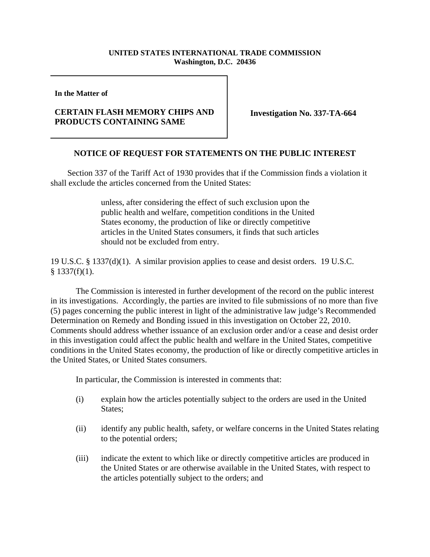## **UNITED STATES INTERNATIONAL TRADE COMMISSION Washington, D.C. 20436**

**In the Matter of** 

## **CERTAIN FLASH MEMORY CHIPS AND PRODUCTS CONTAINING SAME**

**Investigation No. 337-TA-664**

## **NOTICE OF REQUEST FOR STATEMENTS ON THE PUBLIC INTEREST**

 Section 337 of the Tariff Act of 1930 provides that if the Commission finds a violation it shall exclude the articles concerned from the United States:

> unless, after considering the effect of such exclusion upon the public health and welfare, competition conditions in the United States economy, the production of like or directly competitive articles in the United States consumers, it finds that such articles should not be excluded from entry.

19 U.S.C. § 1337(d)(1). A similar provision applies to cease and desist orders. 19 U.S.C.  $§$  1337(f)(1).

The Commission is interested in further development of the record on the public interest in its investigations. Accordingly, the parties are invited to file submissions of no more than five (5) pages concerning the public interest in light of the administrative law judge's Recommended Determination on Remedy and Bonding issued in this investigation on October 22, 2010. Comments should address whether issuance of an exclusion order and/or a cease and desist order in this investigation could affect the public health and welfare in the United States, competitive conditions in the United States economy, the production of like or directly competitive articles in the United States, or United States consumers.

In particular, the Commission is interested in comments that:

- (i) explain how the articles potentially subject to the orders are used in the United States;
- (ii) identify any public health, safety, or welfare concerns in the United States relating to the potential orders;
- (iii) indicate the extent to which like or directly competitive articles are produced in the United States or are otherwise available in the United States, with respect to the articles potentially subject to the orders; and